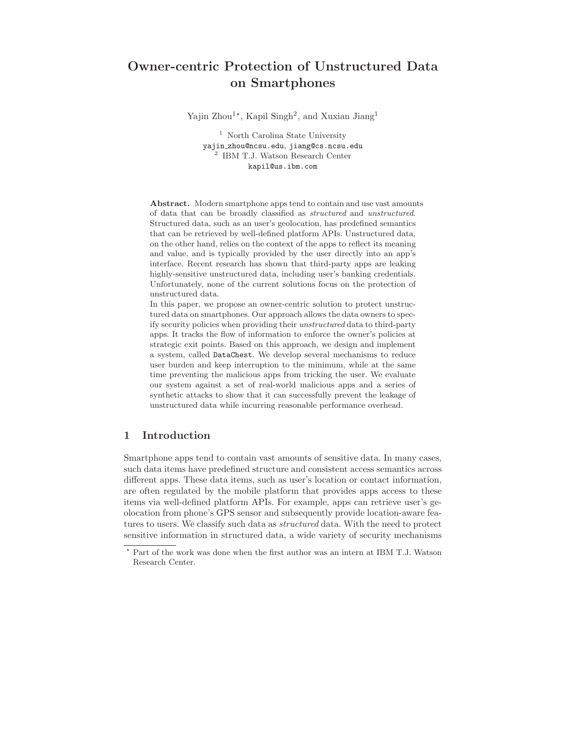# Owner-centric Protection of Unstructured Data on Smartphones

Yajin Zhou<sup>1\*</sup>, Kapil Singh<sup>2</sup>, and Xuxian Jiang<sup>1</sup>

<sup>1</sup> North Carolina State University yajin zhou@ncsu.edu, jiang@cs.ncsu.edu 2 IBM T.J. Watson Research Center kapil@us.ibm.com

Abstract. Modern smartphone apps tend to contain and use vast amounts of data that can be broadly classified as structured and unstructured. Structured data, such as an user's geolocation, has predefined semantics that can be retrieved by well-defined platform APIs. Unstructured data, on the other hand, relies on the context of the apps to reflect its meaning and value, and is typically provided by the user directly into an app's interface. Recent research has shown that third-party apps are leaking highly-sensitive unstructured data, including user's banking credentials. Unfortunately, none of the current solutions focus on the protection of unstructured data.

In this paper, we propose an owner-centric solution to protect unstructured data on smartphones. Our approach allows the data owners to specify security policies when providing their unstructured data to third-party apps. It tracks the flow of information to enforce the owner's policies at strategic exit points. Based on this approach, we design and implement a system, called DataChest. We develop several mechanisms to reduce user burden and keep interruption to the minimum, while at the same time preventing the malicious apps from tricking the user. We evaluate our system against a set of real-world malicious apps and a series of synthetic attacks to show that it can successfully prevent the leakage of unstructured data while incurring reasonable performance overhead.

# 1 Introduction

Smartphone apps tend to contain vast amounts of sensitive data. In many cases, such data items have predefined structure and consistent access semantics across different apps. These data items, such as user's location or contact information, are often regulated by the mobile platform that provides apps access to these items via well-defined platform APIs. For example, apps can retrieve user's geolocation from phone's GPS sensor and subsequently provide location-aware features to users. We classify such data as *structured* data. With the need to protect sensitive information in structured data, a wide variety of security mechanisms

<sup>⋆</sup> Part of the work was done when the first author was an intern at IBM T.J. Watson Research Center.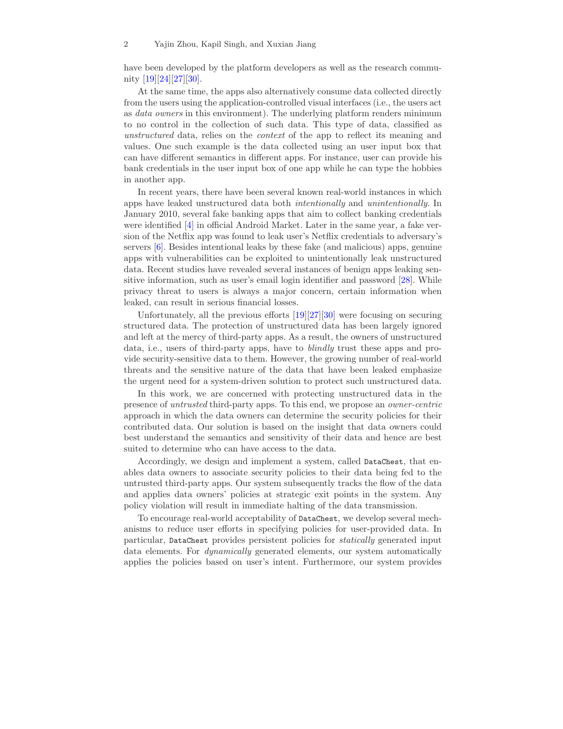have been developed by the platform developers as well as the research community  $|19||24||27||30|$ .

At the same time, the apps also alternatively consume data collected directly from the users using the application-controlled visual interfaces (i.e., the users act as data owners in this environment). The underlying platform renders minimum to no control in the collection of such data. This type of data, classified as unstructured data, relies on the context of the app to reflect its meaning and values. One such example is the data collected using an user input box that can have different semantics in different apps. For instance, user can provide his bank credentials in the user input box of one app while he can type the hobbies in another app.

In recent years, there have been several known real-world instances in which apps have leaked unstructured data both intentionally and unintentionally. In January 2010, several fake banking apps that aim to collect banking credentials were identified [\[4](#page-17-4)] in official Android Market. Later in the same year, a fake version of the Netflix app was found to leak user's Netflix credentials to adversary's servers [\[6](#page-17-5)]. Besides intentional leaks by these fake (and malicious) apps, genuine apps with vulnerabilities can be exploited to unintentionally leak unstructured data. Recent studies have revealed several instances of benign apps leaking sensitive information, such as user's email login identifier and password [\[28](#page-17-6)]. While privacy threat to users is always a major concern, certain information when leaked, can result in serious financial losses.

Unfortunately, all the previous efforts [\[19](#page-17-0)][\[27\]](#page-17-2)[\[30](#page-17-3)] were focusing on securing structured data. The protection of unstructured data has been largely ignored and left at the mercy of third-party apps. As a result, the owners of unstructured data, i.e., users of third-party apps, have to *blindly* trust these apps and provide security-sensitive data to them. However, the growing number of real-world threats and the sensitive nature of the data that have been leaked emphasize the urgent need for a system-driven solution to protect such unstructured data.

In this work, we are concerned with protecting unstructured data in the presence of untrusted third-party apps. To this end, we propose an owner-centric approach in which the data owners can determine the security policies for their contributed data. Our solution is based on the insight that data owners could best understand the semantics and sensitivity of their data and hence are best suited to determine who can have access to the data.

Accordingly, we design and implement a system, called DataChest, that enables data owners to associate security policies to their data being fed to the untrusted third-party apps. Our system subsequently tracks the flow of the data and applies data owners' policies at strategic exit points in the system. Any policy violation will result in immediate halting of the data transmission.

To encourage real-world acceptability of DataChest, we develop several mechanisms to reduce user efforts in specifying policies for user-provided data. In particular, DataChest provides persistent policies for *statically* generated input data elements. For dynamically generated elements, our system automatically applies the policies based on user's intent. Furthermore, our system provides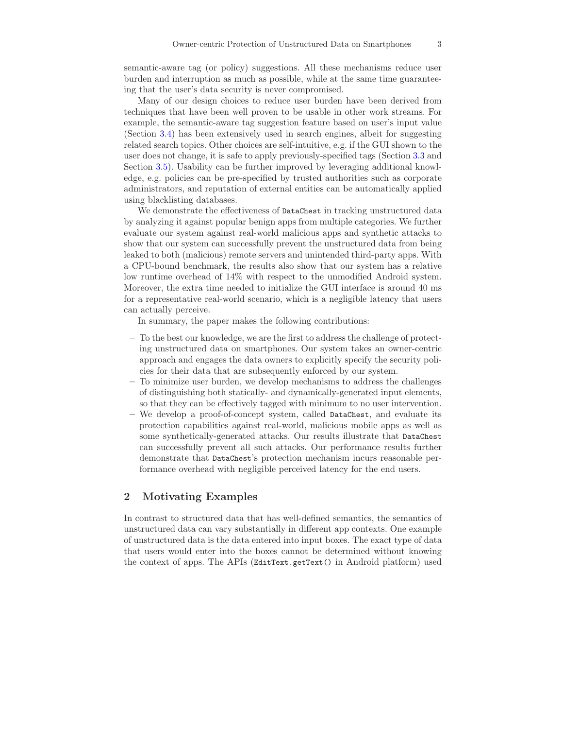semantic-aware tag (or policy) suggestions. All these mechanisms reduce user burden and interruption as much as possible, while at the same time guaranteeing that the user's data security is never compromised.

Many of our design choices to reduce user burden have been derived from techniques that have been well proven to be usable in other work streams. For example, the semantic-aware tag suggestion feature based on user's input value (Section [3.4\)](#page-5-0) has been extensively used in search engines, albeit for suggesting related search topics. Other choices are self-intuitive, e.g. if the GUI shown to the user does not change, it is safe to apply previously-specified tags (Section [3.3](#page-4-0) and Section [3.5\)](#page-6-0). Usability can be further improved by leveraging additional knowledge, e.g. policies can be pre-specified by trusted authorities such as corporate administrators, and reputation of external entities can be automatically applied using blacklisting databases.

We demonstrate the effectiveness of DataChest in tracking unstructured data by analyzing it against popular benign apps from multiple categories. We further evaluate our system against real-world malicious apps and synthetic attacks to show that our system can successfully prevent the unstructured data from being leaked to both (malicious) remote servers and unintended third-party apps. With a CPU-bound benchmark, the results also show that our system has a relative low runtime overhead of 14% with respect to the unmodified Android system. Moreover, the extra time needed to initialize the GUI interface is around 40 ms for a representative real-world scenario, which is a negligible latency that users can actually perceive.

In summary, the paper makes the following contributions:

- To the best our knowledge, we are the first to address the challenge of protecting unstructured data on smartphones. Our system takes an owner-centric approach and engages the data owners to explicitly specify the security policies for their data that are subsequently enforced by our system.
- To minimize user burden, we develop mechanisms to address the challenges of distinguishing both statically- and dynamically-generated input elements, so that they can be effectively tagged with minimum to no user intervention.
- We develop a proof-of-concept system, called DataChest, and evaluate its protection capabilities against real-world, malicious mobile apps as well as some synthetically-generated attacks. Our results illustrate that DataChest can successfully prevent all such attacks. Our performance results further demonstrate that DataChest's protection mechanism incurs reasonable performance overhead with negligible perceived latency for the end users.

# 2 Motivating Examples

In contrast to structured data that has well-defined semantics, the semantics of unstructured data can vary substantially in different app contexts. One example of unstructured data is the data entered into input boxes. The exact type of data that users would enter into the boxes cannot be determined without knowing the context of apps. The APIs (EditText.getText() in Android platform) used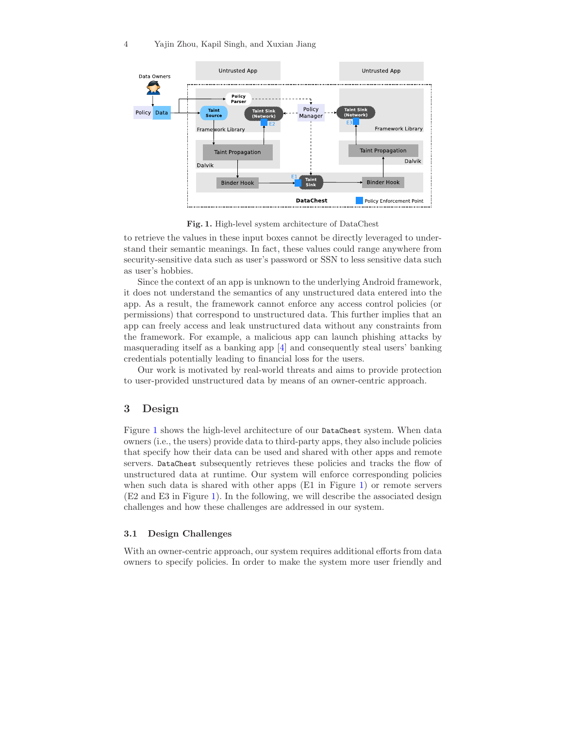

<span id="page-3-0"></span>Fig. 1. High-level system architecture of DataChest

to retrieve the values in these input boxes cannot be directly leveraged to understand their semantic meanings. In fact, these values could range anywhere from security-sensitive data such as user's password or SSN to less sensitive data such as user's hobbies.

Since the context of an app is unknown to the underlying Android framework, it does not understand the semantics of any unstructured data entered into the app. As a result, the framework cannot enforce any access control policies (or permissions) that correspond to unstructured data. This further implies that an app can freely access and leak unstructured data without any constraints from the framework. For example, a malicious app can launch phishing attacks by masquerading itself as a banking app [\[4](#page-17-4)] and consequently steal users' banking credentials potentially leading to financial loss for the users.

Our work is motivated by real-world threats and aims to provide protection to user-provided unstructured data by means of an owner-centric approach.

## 3 Design

Figure [1](#page-3-0) shows the high-level architecture of our DataChest system. When data owners (i.e., the users) provide data to third-party apps, they also include policies that specify how their data can be used and shared with other apps and remote servers. DataChest subsequently retrieves these policies and tracks the flow of unstructured data at runtime. Our system will enforce corresponding policies when such data is shared with other apps (E1 in Figure [1\)](#page-3-0) or remote servers (E2 and E3 in Figure [1\)](#page-3-0). In the following, we will describe the associated design challenges and how these challenges are addressed in our system.

#### 3.1 Design Challenges

With an owner-centric approach, our system requires additional efforts from data owners to specify policies. In order to make the system more user friendly and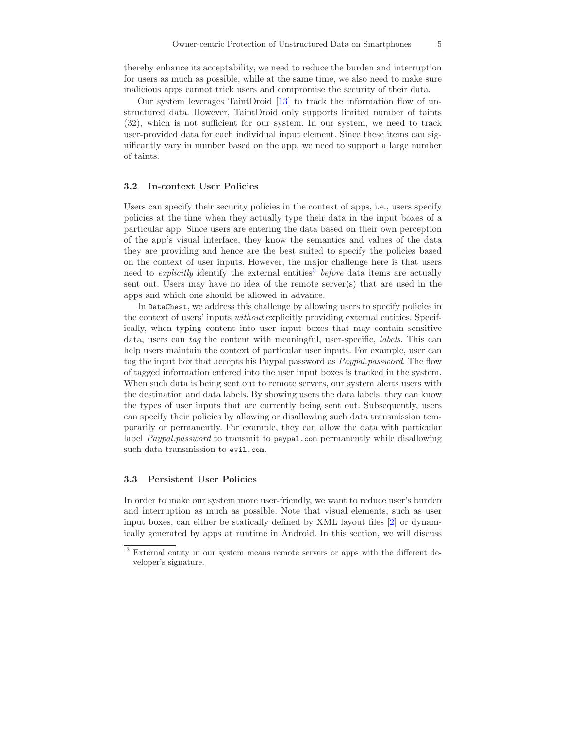thereby enhance its acceptability, we need to reduce the burden and interruption for users as much as possible, while at the same time, we also need to make sure malicious apps cannot trick users and compromise the security of their data.

Our system leverages TaintDroid [\[13](#page-17-7)] to track the information flow of unstructured data. However, TaintDroid only supports limited number of taints (32), which is not sufficient for our system. In our system, we need to track user-provided data for each individual input element. Since these items can significantly vary in number based on the app, we need to support a large number of taints.

#### <span id="page-4-2"></span>3.2 In-context User Policies

Users can specify their security policies in the context of apps, i.e., users specify policies at the time when they actually type their data in the input boxes of a particular app. Since users are entering the data based on their own perception of the app's visual interface, they know the semantics and values of the data they are providing and hence are the best suited to specify the policies based on the context of user inputs. However, the major challenge here is that users need to *explicitly* identify the external entities<sup>[3](#page-4-1)</sup> before data items are actually sent out. Users may have no idea of the remote server(s) that are used in the apps and which one should be allowed in advance.

In DataChest, we address this challenge by allowing users to specify policies in the context of users' inputs without explicitly providing external entities. Specifically, when typing content into user input boxes that may contain sensitive data, users can tag the content with meaningful, user-specific, labels. This can help users maintain the context of particular user inputs. For example, user can tag the input box that accepts his Paypal password as Paypal.password. The flow of tagged information entered into the user input boxes is tracked in the system. When such data is being sent out to remote servers, our system alerts users with the destination and data labels. By showing users the data labels, they can know the types of user inputs that are currently being sent out. Subsequently, users can specify their policies by allowing or disallowing such data transmission temporarily or permanently. For example, they can allow the data with particular label *Paypal.password* to transmit to paypal.com permanently while disallowing such data transmission to evil.com.

#### <span id="page-4-0"></span>3.3 Persistent User Policies

In order to make our system more user-friendly, we want to reduce user's burden and interruption as much as possible. Note that visual elements, such as user input boxes, can either be statically defined by XML layout files [\[2\]](#page-17-8) or dynamically generated by apps at runtime in Android. In this section, we will discuss

<span id="page-4-1"></span><sup>3</sup> External entity in our system means remote servers or apps with the different developer's signature.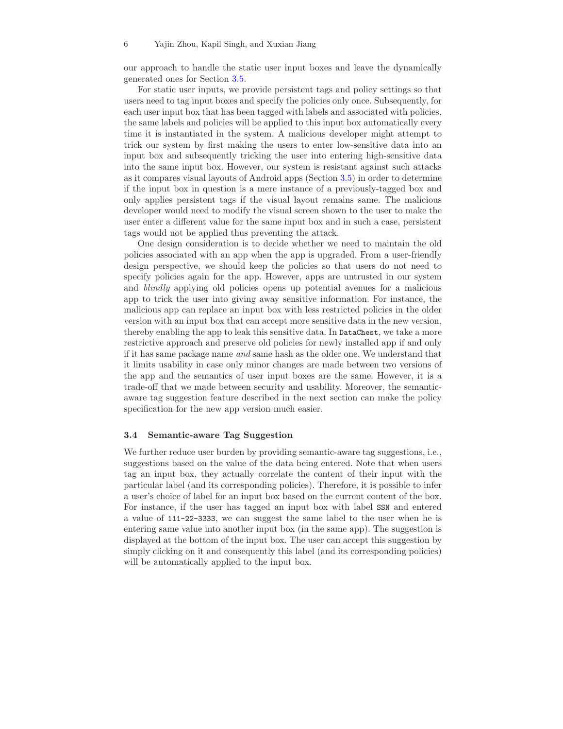our approach to handle the static user input boxes and leave the dynamically generated ones for Section [3.5.](#page-6-0)

For static user inputs, we provide persistent tags and policy settings so that users need to tag input boxes and specify the policies only once. Subsequently, for each user input box that has been tagged with labels and associated with policies, the same labels and policies will be applied to this input box automatically every time it is instantiated in the system. A malicious developer might attempt to trick our system by first making the users to enter low-sensitive data into an input box and subsequently tricking the user into entering high-sensitive data into the same input box. However, our system is resistant against such attacks as it compares visual layouts of Android apps (Section [3.5\)](#page-6-0) in order to determine if the input box in question is a mere instance of a previously-tagged box and only applies persistent tags if the visual layout remains same. The malicious developer would need to modify the visual screen shown to the user to make the user enter a different value for the same input box and in such a case, persistent tags would not be applied thus preventing the attack.

One design consideration is to decide whether we need to maintain the old policies associated with an app when the app is upgraded. From a user-friendly design perspective, we should keep the policies so that users do not need to specify policies again for the app. However, apps are untrusted in our system and blindly applying old policies opens up potential avenues for a malicious app to trick the user into giving away sensitive information. For instance, the malicious app can replace an input box with less restricted policies in the older version with an input box that can accept more sensitive data in the new version, thereby enabling the app to leak this sensitive data. In DataChest, we take a more restrictive approach and preserve old policies for newly installed app if and only if it has same package name and same hash as the older one. We understand that it limits usability in case only minor changes are made between two versions of the app and the semantics of user input boxes are the same. However, it is a trade-off that we made between security and usability. Moreover, the semanticaware tag suggestion feature described in the next section can make the policy specification for the new app version much easier.

#### <span id="page-5-0"></span>3.4 Semantic-aware Tag Suggestion

We further reduce user burden by providing semantic-aware tag suggestions, i.e., suggestions based on the value of the data being entered. Note that when users tag an input box, they actually correlate the content of their input with the particular label (and its corresponding policies). Therefore, it is possible to infer a user's choice of label for an input box based on the current content of the box. For instance, if the user has tagged an input box with label SSN and entered a value of 111-22-3333, we can suggest the same label to the user when he is entering same value into another input box (in the same app). The suggestion is displayed at the bottom of the input box. The user can accept this suggestion by simply clicking on it and consequently this label (and its corresponding policies) will be automatically applied to the input box.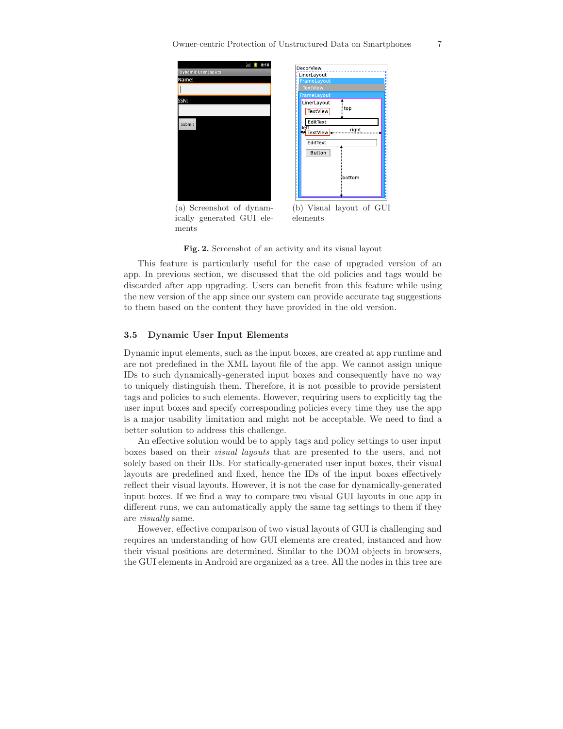

Fig. 2. Screenshot of an activity and its visual layout

<span id="page-6-2"></span><span id="page-6-1"></span>This feature is particularly useful for the case of upgraded version of an app. In previous section, we discussed that the old policies and tags would be discarded after app upgrading. Users can benefit from this feature while using the new version of the app since our system can provide accurate tag suggestions to them based on the content they have provided in the old version.

#### <span id="page-6-0"></span>3.5 Dynamic User Input Elements

Dynamic input elements, such as the input boxes, are created at app runtime and are not predefined in the XML layout file of the app. We cannot assign unique IDs to such dynamically-generated input boxes and consequently have no way to uniquely distinguish them. Therefore, it is not possible to provide persistent tags and policies to such elements. However, requiring users to explicitly tag the user input boxes and specify corresponding policies every time they use the app is a major usability limitation and might not be acceptable. We need to find a better solution to address this challenge.

An effective solution would be to apply tags and policy settings to user input boxes based on their visual layouts that are presented to the users, and not solely based on their IDs. For statically-generated user input boxes, their visual layouts are predefined and fixed, hence the IDs of the input boxes effectively reflect their visual layouts. However, it is not the case for dynamically-generated input boxes. If we find a way to compare two visual GUI layouts in one app in different runs, we can automatically apply the same tag settings to them if they are visually same.

However, effective comparison of two visual layouts of GUI is challenging and requires an understanding of how GUI elements are created, instanced and how their visual positions are determined. Similar to the DOM objects in browsers, the GUI elements in Android are organized as a tree. All the nodes in this tree are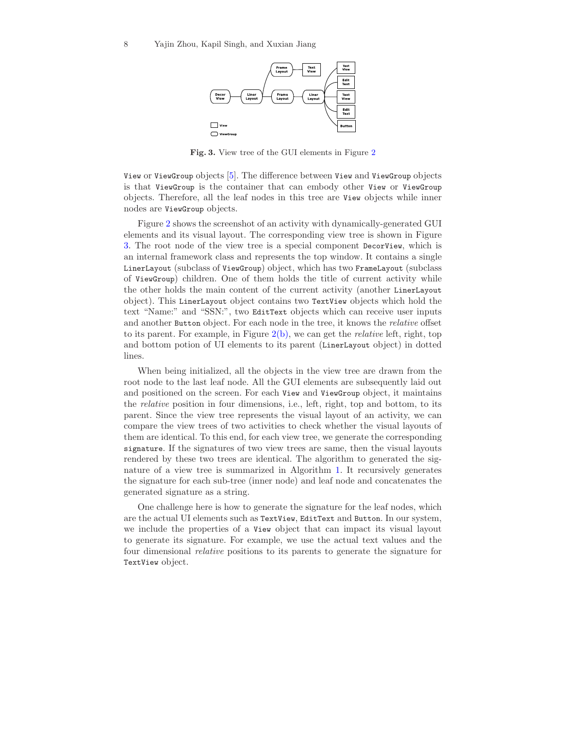

<span id="page-7-0"></span>Fig. 3. View tree of the GUI elements in Figure [2](#page-6-1)

View or ViewGroup objects [\[5](#page-17-9)]. The difference between View and ViewGroup objects is that ViewGroup is the container that can embody other View or ViewGroup objects. Therefore, all the leaf nodes in this tree are View objects while inner nodes are ViewGroup objects.

Figure [2](#page-6-1) shows the screenshot of an activity with dynamically-generated GUI elements and its visual layout. The corresponding view tree is shown in Figure [3.](#page-7-0) The root node of the view tree is a special component DecorView, which is an internal framework class and represents the top window. It contains a single LinerLayout (subclass of ViewGroup) object, which has two FrameLayout (subclass of ViewGroup) children. One of them holds the title of current activity while the other holds the main content of the current activity (another LinerLayout object). This LinerLayout object contains two TextView objects which hold the text "Name:" and "SSN:", two EditText objects which can receive user inputs and another Button object. For each node in the tree, it knows the relative offset to its parent. For example, in Figure  $2(b)$ , we can get the *relative* left, right, top and bottom potion of UI elements to its parent (LinerLayout object) in dotted lines.

When being initialized, all the objects in the view tree are drawn from the root node to the last leaf node. All the GUI elements are subsequently laid out and positioned on the screen. For each View and ViewGroup object, it maintains the relative position in four dimensions, i.e., left, right, top and bottom, to its parent. Since the view tree represents the visual layout of an activity, we can compare the view trees of two activities to check whether the visual layouts of them are identical. To this end, for each view tree, we generate the corresponding signature. If the signatures of two view trees are same, then the visual layouts rendered by these two trees are identical. The algorithm to generated the signature of a view tree is summarized in Algorithm [1.](#page-8-0) It recursively generates the signature for each sub-tree (inner node) and leaf node and concatenates the generated signature as a string.

One challenge here is how to generate the signature for the leaf nodes, which are the actual UI elements such as TextView, EditText and Button. In our system, we include the properties of a View object that can impact its visual layout to generate its signature. For example, we use the actual text values and the four dimensional relative positions to its parents to generate the signature for TextView object.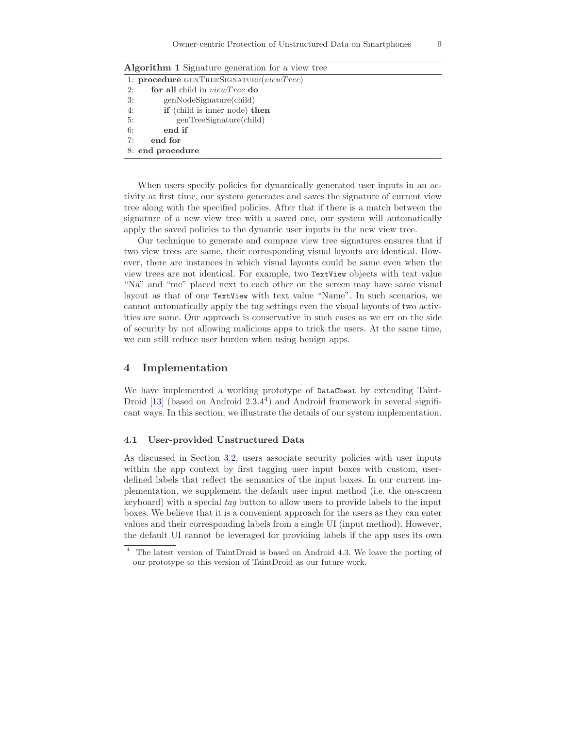| <b>Algorithm 1</b> Signature generation for a view tree |
|---------------------------------------------------------|
| 1: procedure GENTREESIGNATURE $(viewTree)$              |
| for all child in viewTree do<br>2:                      |
| genNodeSignature(child)<br>3:                           |
| <b>if</b> (child is inner node) <b>then</b><br>4:       |
| genTreeSignature(child)<br>5:                           |
| 6:<br>end if                                            |
| end for<br>7:                                           |
| 8: end procedure                                        |

<span id="page-8-0"></span>When users specify policies for dynamically generated user inputs in an activity at first time, our system generates and saves the signature of current view tree along with the specified policies. After that if there is a match between the signature of a new view tree with a saved one, our system will automatically apply the saved policies to the dynamic user inputs in the new view tree.

Our technique to generate and compare view tree signatures ensures that if two view trees are same, their corresponding visual layouts are identical. However, there are instances in which visual layouts could be same even when the view trees are not identical. For example, two TextView objects with text value "Na" and "me" placed next to each other on the screen may have same visual layout as that of one TextView with text value "Name". In such scenarios, we cannot automatically apply the tag settings even the visual layouts of two activities are same. Our approach is conservative in such cases as we err on the side of security by not allowing malicious apps to trick the users. At the same time, we can still reduce user burden when using benign apps.

### 4 Implementation

We have implemented a working prototype of DataChest by extending Taint-Droid  $[13]$  (based on Android 2.3.[4](#page-8-1)<sup>4</sup>) and Android framework in several significant ways. In this section, we illustrate the details of our system implementation.

#### <span id="page-8-2"></span>4.1 User-provided Unstructured Data

As discussed in Section [3.2,](#page-4-2) users associate security policies with user inputs within the app context by first tagging user input boxes with custom, userdefined labels that reflect the semantics of the input boxes. In our current implementation, we supplement the default user input method (i.e. the on-screen keyboard) with a special tag button to allow users to provide labels to the input boxes. We believe that it is a convenient approach for the users as they can enter values and their corresponding labels from a single UI (input method). However, the default UI cannot be leveraged for providing labels if the app uses its own

<span id="page-8-1"></span><sup>4</sup> The latest version of TaintDroid is based on Android 4.3. We leave the porting of our prototype to this version of TaintDroid as our future work.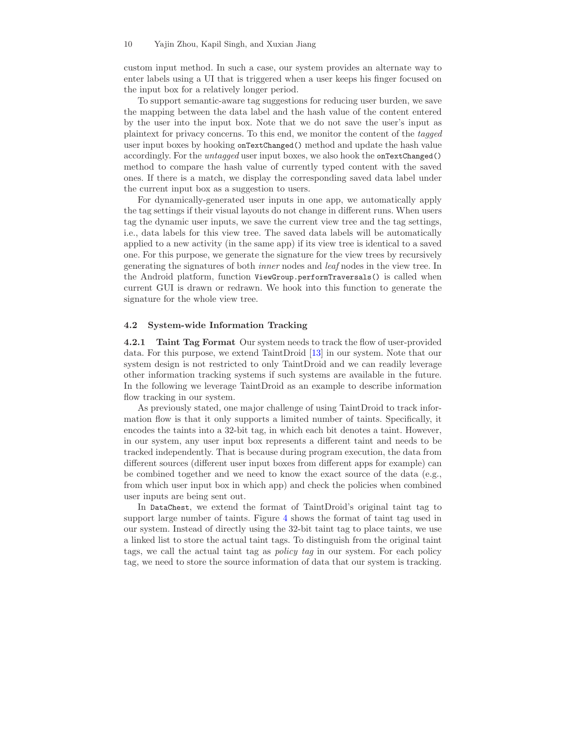custom input method. In such a case, our system provides an alternate way to enter labels using a UI that is triggered when a user keeps his finger focused on the input box for a relatively longer period.

To support semantic-aware tag suggestions for reducing user burden, we save the mapping between the data label and the hash value of the content entered by the user into the input box. Note that we do not save the user's input as plaintext for privacy concerns. To this end, we monitor the content of the tagged user input boxes by hooking onTextChanged() method and update the hash value accordingly. For the *untagged* user input boxes, we also hook the onTextChanged() method to compare the hash value of currently typed content with the saved ones. If there is a match, we display the corresponding saved data label under the current input box as a suggestion to users.

For dynamically-generated user inputs in one app, we automatically apply the tag settings if their visual layouts do not change in different runs. When users tag the dynamic user inputs, we save the current view tree and the tag settings, i.e., data labels for this view tree. The saved data labels will be automatically applied to a new activity (in the same app) if its view tree is identical to a saved one. For this purpose, we generate the signature for the view trees by recursively generating the signatures of both inner nodes and leaf nodes in the view tree. In the Android platform, function ViewGroup.performTraversals() is called when current GUI is drawn or redrawn. We hook into this function to generate the signature for the whole view tree.

#### 4.2 System-wide Information Tracking

4.2.1 Taint Tag Format Our system needs to track the flow of user-provided data. For this purpose, we extend TaintDroid [\[13](#page-17-7)] in our system. Note that our system design is not restricted to only TaintDroid and we can readily leverage other information tracking systems if such systems are available in the future. In the following we leverage TaintDroid as an example to describe information flow tracking in our system.

As previously stated, one major challenge of using TaintDroid to track information flow is that it only supports a limited number of taints. Specifically, it encodes the taints into a 32-bit tag, in which each bit denotes a taint. However, in our system, any user input box represents a different taint and needs to be tracked independently. That is because during program execution, the data from different sources (different user input boxes from different apps for example) can be combined together and we need to know the exact source of the data (e.g., from which user input box in which app) and check the policies when combined user inputs are being sent out.

In DataChest, we extend the format of TaintDroid's original taint tag to support large number of taints. Figure [4](#page-10-0) shows the format of taint tag used in our system. Instead of directly using the 32-bit taint tag to place taints, we use a linked list to store the actual taint tags. To distinguish from the original taint tags, we call the actual taint tag as policy tag in our system. For each policy tag, we need to store the source information of data that our system is tracking.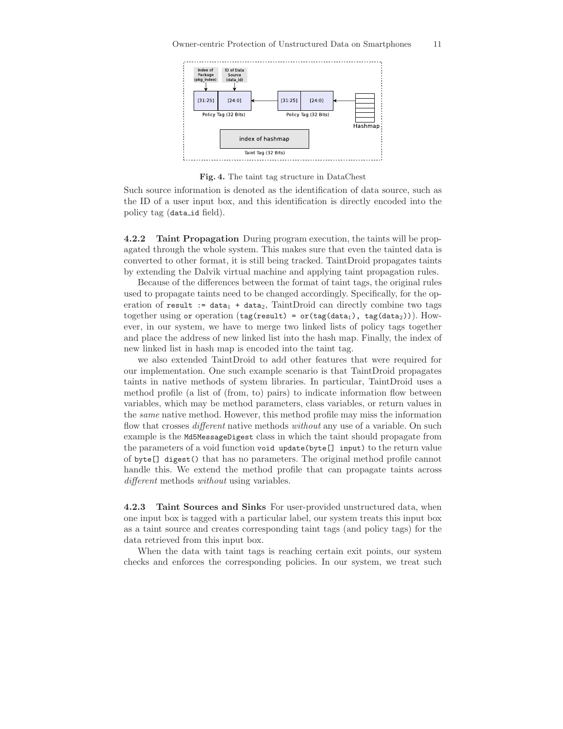

<span id="page-10-0"></span>Fig. 4. The taint tag structure in DataChest

Such source information is denoted as the identification of data source, such as the ID of a user input box, and this identification is directly encoded into the policy tag (data id field).

4.2.2 Taint Propagation During program execution, the taints will be propagated through the whole system. This makes sure that even the tainted data is converted to other format, it is still being tracked. TaintDroid propagates taints by extending the Dalvik virtual machine and applying taint propagation rules.

Because of the differences between the format of taint tags, the original rules used to propagate taints need to be changed accordingly. Specifically, for the operation of result :=  $data_1 + data_2$ , TaintDroid can directly combine two tags together using or operation (tag(result) = or(tag(data<sub>1</sub>), tag(data<sub>2</sub>))). However, in our system, we have to merge two linked lists of policy tags together and place the address of new linked list into the hash map. Finally, the index of new linked list in hash map is encoded into the taint tag.

we also extended TaintDroid to add other features that were required for our implementation. One such example scenario is that TaintDroid propagates taints in native methods of system libraries. In particular, TaintDroid uses a method profile (a list of (from, to) pairs) to indicate information flow between variables, which may be method parameters, class variables, or return values in the same native method. However, this method profile may miss the information flow that crosses *different* native methods *without* any use of a variable. On such example is the Md5MessageDigest class in which the taint should propagate from the parameters of a void function void update(byte[] input) to the return value of byte[] digest() that has no parameters. The original method profile cannot handle this. We extend the method profile that can propagate taints across different methods *without* using variables.

4.2.3 Taint Sources and Sinks For user-provided unstructured data, when one input box is tagged with a particular label, our system treats this input box as a taint source and creates corresponding taint tags (and policy tags) for the data retrieved from this input box.

When the data with taint tags is reaching certain exit points, our system checks and enforces the corresponding policies. In our system, we treat such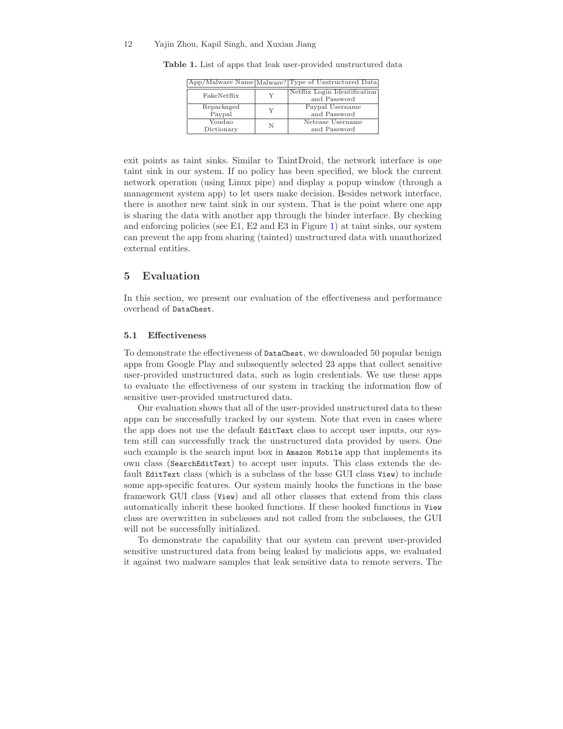<span id="page-11-0"></span>

|                      |   | App/Malware Name Malware? Type of Unstructured Data |
|----------------------|---|-----------------------------------------------------|
| FakeNetflix          | v | Netflix Login Identification<br>and Password        |
| Repackaged<br>Paypal |   | Paypal Username<br>and Password                     |
| Youdao<br>Dictionary | N | Netease Username<br>and Password                    |

Table 1. List of apps that leak user-provided unstructured data

exit points as taint sinks. Similar to TaintDroid, the network interface is one taint sink in our system. If no policy has been specified, we block the current network operation (using Linux pipe) and display a popup window (through a management system app) to let users make decision. Besides network interface, there is another new taint sink in our system. That is the point where one app is sharing the data with another app through the binder interface. By checking and enforcing policies (see E1, E2 and E3 in Figure [1\)](#page-3-0) at taint sinks, our system can prevent the app from sharing (tainted) unstructured data with unauthorized external entities.

### 5 Evaluation

In this section, we present our evaluation of the effectiveness and performance overhead of DataChest.

#### 5.1 Effectiveness

To demonstrate the effectiveness of DataChest, we downloaded 50 popular benign apps from Google Play and subsequently selected 23 apps that collect sensitive user-provided unstructured data, such as login credentials. We use these apps to evaluate the effectiveness of our system in tracking the information flow of sensitive user-provided unstructured data.

Our evaluation shows that all of the user-provided unstructured data to these apps can be successfully tracked by our system. Note that even in cases where the app does not use the default EditText class to accept user inputs, our system still can successfully track the unstructured data provided by users. One such example is the search input box in Amazon Mobile app that implements its own class (SearchEditText) to accept user inputs. This class extends the default EditText class (which is a subclass of the base GUI class View) to include some app-specific features. Our system mainly hooks the functions in the base framework GUI class (View) and all other classes that extend from this class automatically inherit these hooked functions. If these hooked functions in View class are overwritten in subclasses and not called from the subclasses, the GUI will not be successfully initialized.

To demonstrate the capability that our system can prevent user-provided sensitive unstructured data from being leaked by malicious apps, we evaluated it against two malware samples that leak sensitive data to remote servers. The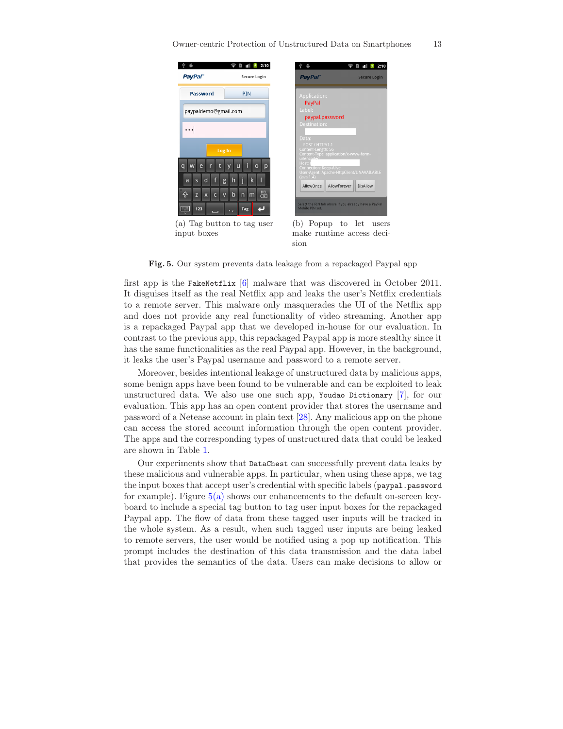<span id="page-12-0"></span>

Fig. 5. Our system prevents data leakage from a repackaged Paypal app

<span id="page-12-1"></span>first app is the FakeNetflix [\[6](#page-17-5)] malware that was discovered in October 2011. It disguises itself as the real Netflix app and leaks the user's Netflix credentials to a remote server. This malware only masquerades the UI of the Netflix app and does not provide any real functionality of video streaming. Another app is a repackaged Paypal app that we developed in-house for our evaluation. In contrast to the previous app, this repackaged Paypal app is more stealthy since it has the same functionalities as the real Paypal app. However, in the background, it leaks the user's Paypal username and password to a remote server.

Moreover, besides intentional leakage of unstructured data by malicious apps, some benign apps have been found to be vulnerable and can be exploited to leak unstructured data. We also use one such app, Youdao Dictionary [\[7](#page-17-10)], for our evaluation. This app has an open content provider that stores the username and password of a Netease account in plain text [\[28\]](#page-17-6). Any malicious app on the phone can access the stored account information through the open content provider. The apps and the corresponding types of unstructured data that could be leaked are shown in Table [1.](#page-11-0)

Our experiments show that DataChest can successfully prevent data leaks by these malicious and vulnerable apps. In particular, when using these apps, we tag the input boxes that accept user's credential with specific labels (paypal.password for example). Figure  $5(a)$  shows our enhancements to the default on-screen keyboard to include a special tag button to tag user input boxes for the repackaged Paypal app. The flow of data from these tagged user inputs will be tracked in the whole system. As a result, when such tagged user inputs are being leaked to remote servers, the user would be notified using a pop up notification. This prompt includes the destination of this data transmission and the data label that provides the semantics of the data. Users can make decisions to allow or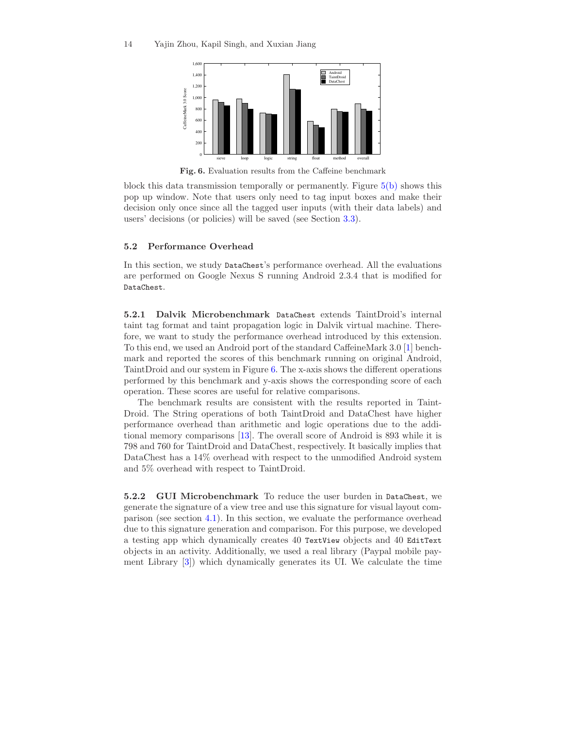

<span id="page-13-0"></span>Fig. 6. Evaluation results from the Caffeine benchmark

block this data transmission temporally or permanently. Figure [5\(b\)](#page-12-1) shows this pop up window. Note that users only need to tag input boxes and make their decision only once since all the tagged user inputs (with their data labels) and users' decisions (or policies) will be saved (see Section [3.3\)](#page-4-0).

#### 5.2 Performance Overhead

In this section, we study DataChest's performance overhead. All the evaluations are performed on Google Nexus S running Android 2.3.4 that is modified for DataChest.

5.2.1 Dalvik Microbenchmark DataChest extends TaintDroid's internal taint tag format and taint propagation logic in Dalvik virtual machine. Therefore, we want to study the performance overhead introduced by this extension. To this end, we used an Android port of the standard CaffeineMark 3.0 [\[1\]](#page-17-11) benchmark and reported the scores of this benchmark running on original Android, TaintDroid and our system in Figure [6.](#page-13-0) The x-axis shows the different operations performed by this benchmark and y-axis shows the corresponding score of each operation. These scores are useful for relative comparisons.

The benchmark results are consistent with the results reported in Taint-Droid. The String operations of both TaintDroid and DataChest have higher performance overhead than arithmetic and logic operations due to the additional memory comparisons [\[13](#page-17-7)]. The overall score of Android is 893 while it is 798 and 760 for TaintDroid and DataChest, respectively. It basically implies that DataChest has a 14% overhead with respect to the unmodified Android system and 5% overhead with respect to TaintDroid.

5.2.2 GUI Microbenchmark To reduce the user burden in DataChest, we generate the signature of a view tree and use this signature for visual layout comparison (see section [4.1\)](#page-8-2). In this section, we evaluate the performance overhead due to this signature generation and comparison. For this purpose, we developed a testing app which dynamically creates 40 TextView objects and 40 EditText objects in an activity. Additionally, we used a real library (Paypal mobile payment Library [\[3\]](#page-17-12)) which dynamically generates its UI. We calculate the time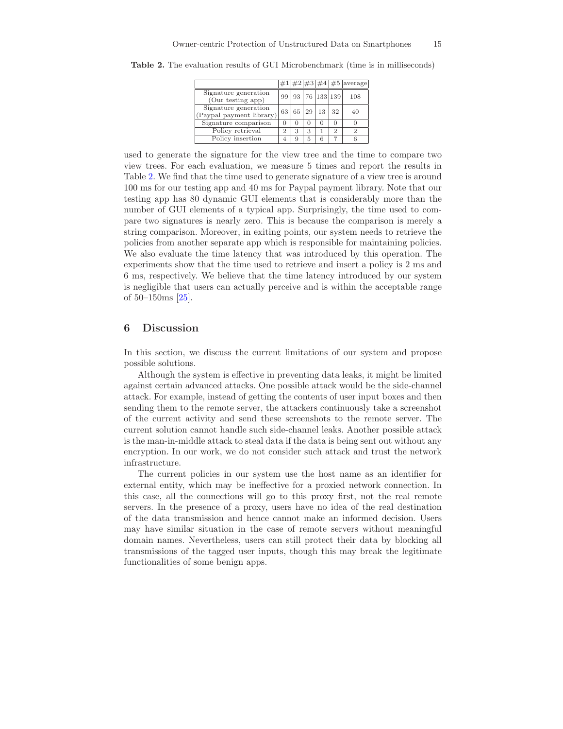<span id="page-14-0"></span>

|                                                  |   |              |   |                        |                          | $\#1 \#2 \#3 \#4 \#5 $ average |
|--------------------------------------------------|---|--------------|---|------------------------|--------------------------|--------------------------------|
| Signature generation<br>(Our testing app)        |   |              |   |                        | 99   93   76   133   139 | 108                            |
| Signature generation<br>(Paypal payment library) |   |              |   | 63   65   29   13   32 |                          | 40                             |
| Signature comparison                             |   | $\mathbf{0}$ | 0 |                        |                          |                                |
| Policy retrieval                                 | 2 | 3            | З |                        | 9                        |                                |
| Policy insertion                                 |   | 9            | 5 |                        |                          |                                |

Table 2. The evaluation results of GUI Microbenchmark (time is in milliseconds)

used to generate the signature for the view tree and the time to compare two view trees. For each evaluation, we measure 5 times and report the results in Table [2.](#page-14-0) We find that the time used to generate signature of a view tree is around 100 ms for our testing app and 40 ms for Paypal payment library. Note that our testing app has 80 dynamic GUI elements that is considerably more than the number of GUI elements of a typical app. Surprisingly, the time used to compare two signatures is nearly zero. This is because the comparison is merely a string comparison. Moreover, in exiting points, our system needs to retrieve the policies from another separate app which is responsible for maintaining policies. We also evaluate the time latency that was introduced by this operation. The experiments show that the time used to retrieve and insert a policy is 2 ms and 6 ms, respectively. We believe that the time latency introduced by our system is negligible that users can actually perceive and is within the acceptable range of 50–150ms [\[25](#page-17-13)].

# 6 Discussion

In this section, we discuss the current limitations of our system and propose possible solutions.

Although the system is effective in preventing data leaks, it might be limited against certain advanced attacks. One possible attack would be the side-channel attack. For example, instead of getting the contents of user input boxes and then sending them to the remote server, the attackers continuously take a screenshot of the current activity and send these screenshots to the remote server. The current solution cannot handle such side-channel leaks. Another possible attack is the man-in-middle attack to steal data if the data is being sent out without any encryption. In our work, we do not consider such attack and trust the network infrastructure.

The current policies in our system use the host name as an identifier for external entity, which may be ineffective for a proxied network connection. In this case, all the connections will go to this proxy first, not the real remote servers. In the presence of a proxy, users have no idea of the real destination of the data transmission and hence cannot make an informed decision. Users may have similar situation in the case of remote servers without meaningful domain names. Nevertheless, users can still protect their data by blocking all transmissions of the tagged user inputs, though this may break the legitimate functionalities of some benign apps.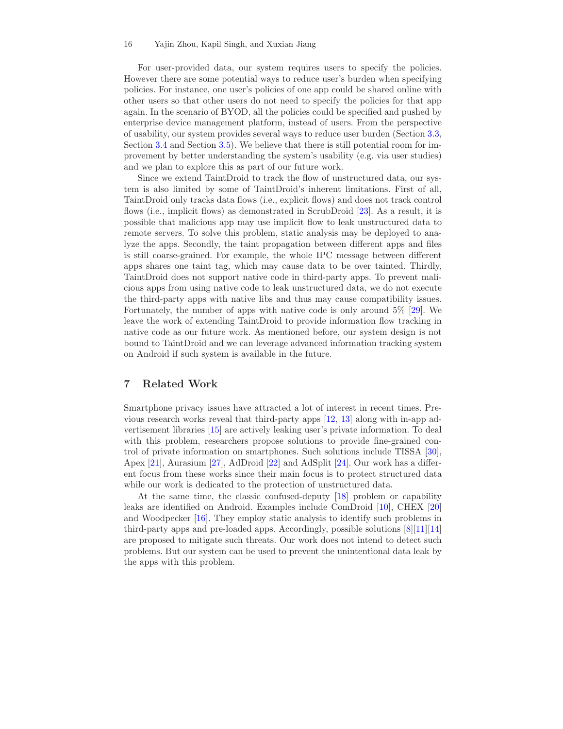#### 16 Yajin Zhou, Kapil Singh, and Xuxian Jiang

For user-provided data, our system requires users to specify the policies. However there are some potential ways to reduce user's burden when specifying policies. For instance, one user's policies of one app could be shared online with other users so that other users do not need to specify the policies for that app again. In the scenario of BYOD, all the policies could be specified and pushed by enterprise device management platform, instead of users. From the perspective of usability, our system provides several ways to reduce user burden (Section [3.3,](#page-4-0) Section [3.4](#page-5-0) and Section [3.5\)](#page-6-0). We believe that there is still potential room for improvement by better understanding the system's usability (e.g. via user studies) and we plan to explore this as part of our future work.

Since we extend TaintDroid to track the flow of unstructured data, our system is also limited by some of TaintDroid's inherent limitations. First of all, TaintDroid only tracks data flows (i.e., explicit flows) and does not track control flows (i.e., implicit flows) as demonstrated in ScrubDroid [\[23\]](#page-17-14). As a result, it is possible that malicious app may use implicit flow to leak unstructured data to remote servers. To solve this problem, static analysis may be deployed to analyze the apps. Secondly, the taint propagation between different apps and files is still coarse-grained. For example, the whole IPC message between different apps shares one taint tag, which may cause data to be over tainted. Thirdly, TaintDroid does not support native code in third-party apps. To prevent malicious apps from using native code to leak unstructured data, we do not execute the third-party apps with native libs and thus may cause compatibility issues. Fortunately, the number of apps with native code is only around 5% [\[29](#page-17-15)]. We leave the work of extending TaintDroid to provide information flow tracking in native code as our future work. As mentioned before, our system design is not bound to TaintDroid and we can leverage advanced information tracking system on Android if such system is available in the future.

## 7 Related Work

Smartphone privacy issues have attracted a lot of interest in recent times. Previous research works reveal that third-party apps [\[12,](#page-17-16) [13\]](#page-17-7) along with in-app advertisement libraries [\[15\]](#page-17-17) are actively leaking user's private information. To deal with this problem, researchers propose solutions to provide fine-grained control of private information on smartphones. Such solutions include TISSA [\[30](#page-17-3)], Apex [\[21](#page-17-18)], Aurasium [\[27](#page-17-2)], AdDroid [\[22](#page-17-19)] and AdSplit [\[24](#page-17-1)]. Our work has a different focus from these works since their main focus is to protect structured data while our work is dedicated to the protection of unstructured data.

At the same time, the classic confused-deputy [\[18](#page-17-20)] problem or capability leaks are identified on Android. Examples include ComDroid [\[10](#page-17-21)], CHEX [\[20\]](#page-17-22) and Woodpecker [\[16\]](#page-17-23). They employ static analysis to identify such problems in third-party apps and pre-loaded apps. Accordingly, possible solutions  $[8][11][14]$  $[8][11][14]$  $[8][11][14]$  $[8][11][14]$ are proposed to mitigate such threats. Our work does not intend to detect such problems. But our system can be used to prevent the unintentional data leak by the apps with this problem.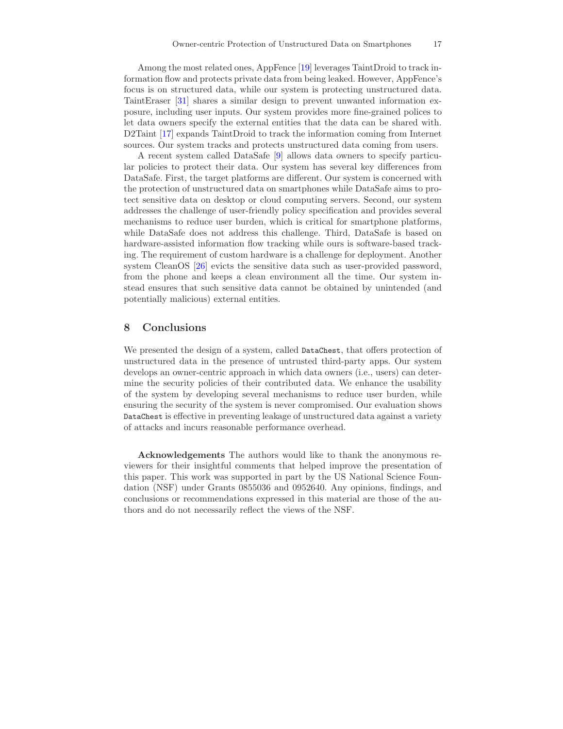Among the most related ones, AppFence [\[19\]](#page-17-0) leverages TaintDroid to track information flow and protects private data from being leaked. However, AppFence's focus is on structured data, while our system is protecting unstructured data. TaintEraser [\[31](#page-17-27)] shares a similar design to prevent unwanted information exposure, including user inputs. Our system provides more fine-grained polices to let data owners specify the external entities that the data can be shared with. D2Taint [\[17](#page-17-28)] expands TaintDroid to track the information coming from Internet sources. Our system tracks and protects unstructured data coming from users.

A recent system called DataSafe [\[9](#page-17-29)] allows data owners to specify particular policies to protect their data. Our system has several key differences from DataSafe. First, the target platforms are different. Our system is concerned with the protection of unstructured data on smartphones while DataSafe aims to protect sensitive data on desktop or cloud computing servers. Second, our system addresses the challenge of user-friendly policy specification and provides several mechanisms to reduce user burden, which is critical for smartphone platforms, while DataSafe does not address this challenge. Third, DataSafe is based on hardware-assisted information flow tracking while ours is software-based tracking. The requirement of custom hardware is a challenge for deployment. Another system CleanOS [\[26](#page-17-30)] evicts the sensitive data such as user-provided password, from the phone and keeps a clean environment all the time. Our system instead ensures that such sensitive data cannot be obtained by unintended (and potentially malicious) external entities.

### 8 Conclusions

We presented the design of a system, called DataChest, that offers protection of unstructured data in the presence of untrusted third-party apps. Our system develops an owner-centric approach in which data owners (i.e., users) can determine the security policies of their contributed data. We enhance the usability of the system by developing several mechanisms to reduce user burden, while ensuring the security of the system is never compromised. Our evaluation shows DataChest is effective in preventing leakage of unstructured data against a variety of attacks and incurs reasonable performance overhead.

Acknowledgements The authors would like to thank the anonymous reviewers for their insightful comments that helped improve the presentation of this paper. This work was supported in part by the US National Science Foundation (NSF) under Grants 0855036 and 0952640. Any opinions, findings, and conclusions or recommendations expressed in this material are those of the authors and do not necessarily reflect the views of the NSF.